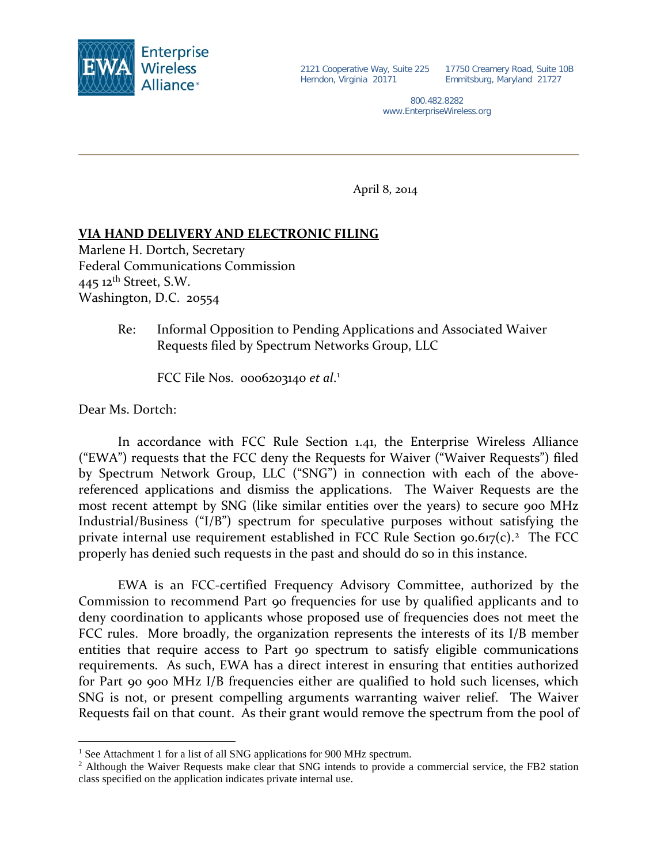

17750 Creamery Road, Suite 10B Emmitsburg, Maryland 21727

800.482.8282 www.EnterpriseWireless.org

April 8, 2014

## **VIA HAND DELIVERY AND ELECTRONIC FILING**

Marlene H. Dortch, Secretary Federal Communications Commission  $445$  12<sup>th</sup> Street, S.W. Washington, D.C. 20554

> Re: Informal Opposition to Pending Applications and Associated Waiver Requests filed by Spectrum Networks Group, LLC

FCC File Nos. 0006203140 *et al*. [1](#page-0-0)

Dear Ms. Dortch:

 $\overline{a}$ 

In accordance with FCC Rule Section 1.41, the Enterprise Wireless Alliance ("EWA") requests that the FCC deny the Requests for Waiver ("Waiver Requests") filed by Spectrum Network Group, LLC ("SNG") in connection with each of the abovereferenced applications and dismiss the applications. The Waiver Requests are the most recent attempt by SNG (like similar entities over the years) to secure 900 MHz Industrial/Business ("I/B") spectrum for speculative purposes without satisfying the private internal use requirement established in FCC Rule Section  $90.617(c)$ .<sup>[2](#page-0-1)</sup> The FCC properly has denied such requests in the past and should do so in this instance.

EWA is an FCC-certified Frequency Advisory Committee, authorized by the Commission to recommend Part 90 frequencies for use by qualified applicants and to deny coordination to applicants whose proposed use of frequencies does not meet the FCC rules. More broadly, the organization represents the interests of its I/B member entities that require access to Part 90 spectrum to satisfy eligible communications requirements. As such, EWA has a direct interest in ensuring that entities authorized for Part 90 900 MHz I/B frequencies either are qualified to hold such licenses, which SNG is not, or present compelling arguments warranting waiver relief. The Waiver Requests fail on that count. As their grant would remove the spectrum from the pool of

<span id="page-0-0"></span><sup>&</sup>lt;sup>1</sup> See Attachment 1 for a list of all SNG applications for 900 MHz spectrum.

<span id="page-0-1"></span><sup>&</sup>lt;sup>2</sup> Although the Waiver Requests make clear that SNG intends to provide a commercial service, the FB2 station class specified on the application indicates private internal use.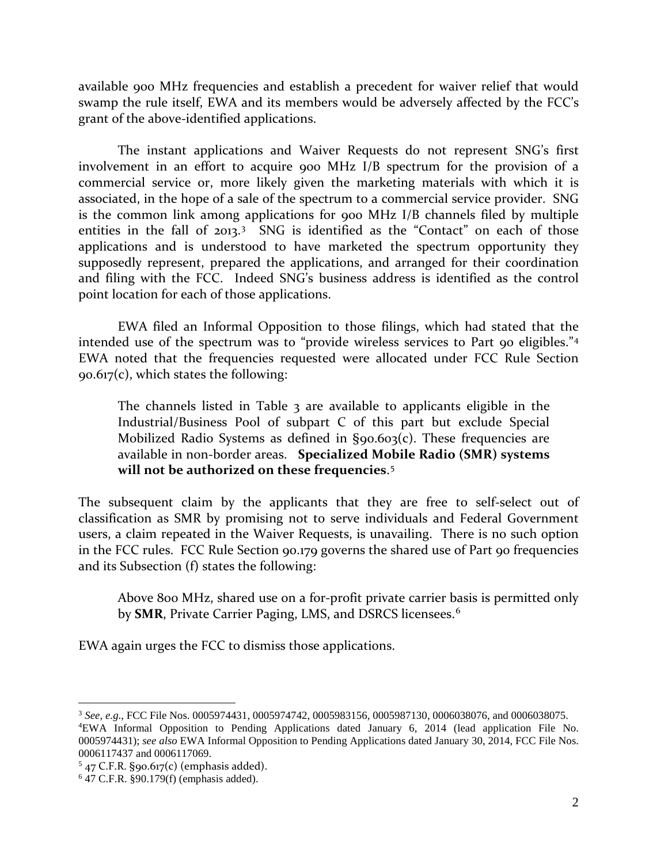available 900 MHz frequencies and establish a precedent for waiver relief that would swamp the rule itself, EWA and its members would be adversely affected by the FCC's grant of the above-identified applications.

The instant applications and Waiver Requests do not represent SNG's first involvement in an effort to acquire 900 MHz I/B spectrum for the provision of a commercial service or, more likely given the marketing materials with which it is associated, in the hope of a sale of the spectrum to a commercial service provider. SNG is the common link among applications for 900 MHz I/B channels filed by multiple entities in the fall of 201[3](#page-1-0).<sup>3</sup> SNG is identified as the "Contact" on each of those applications and is understood to have marketed the spectrum opportunity they supposedly represent, prepared the applications, and arranged for their coordination and filing with the FCC. Indeed SNG's business address is identified as the control point location for each of those applications.

EWA filed an Informal Opposition to those filings, which had stated that the intended use of the spectrum was to "provide wireless services to Part 90 eligibles."[4](#page-1-1)  EWA noted that the frequencies requested were allocated under FCC Rule Section 90.617(c), which states the following:

The channels listed in Table 3 are available to applicants eligible in the Industrial/Business Pool of [subpart C](http://telecomlaw.bna.com/terc/display/link_res.adp?fedfid=18137003&fname=cfr_47_90_spc&vname=comrgeref100) of this part but exclude Special Mobilized Radio Systems as defined in [§90.603\(c\).](http://telecomlaw.bna.com/terc/display/link_res.adp?fedfid=18137003&fname=cfr_47_90_603_c_&vname=comrgeref100) These frequencies are available in non-border areas. **Specialized Mobile Radio (SMR) systems will not be authorized on these frequencies**. [5](#page-1-2)

The subsequent claim by the applicants that they are free to self-select out of classification as SMR by promising not to serve individuals and Federal Government users, a claim repeated in the Waiver Requests, is unavailing. There is no such option in the FCC rules. FCC Rule Section 90.179 governs the shared use of Part 90 frequencies and its Subsection (f) states the following:

Above 800 MHz, shared use on a for-profit private carrier basis is permitted only by **SMR**, Private Carrier Paging, LMS, and DSRCS licensees. [6](#page-1-3)

EWA again urges the FCC to dismiss those applications.

<span id="page-1-1"></span><span id="page-1-0"></span><sup>3</sup> *See, e.g*., FCC File Nos. 0005974431, 0005974742, 0005983156, 0005987130, 0006038076, and 0006038075. 4 EWA Informal Opposition to Pending Applications dated January 6, 2014 (lead application File No. 0005974431); *see also* EWA Informal Opposition to Pending Applications dated January 30, 2014, FCC File Nos. 0006117437 and 0006117069.

<span id="page-1-2"></span> $5$  47 C.F.R. §90.617(c) (emphasis added).

<span id="page-1-3"></span><sup>6</sup> 47 C.F.R. §90.179(f) (emphasis added).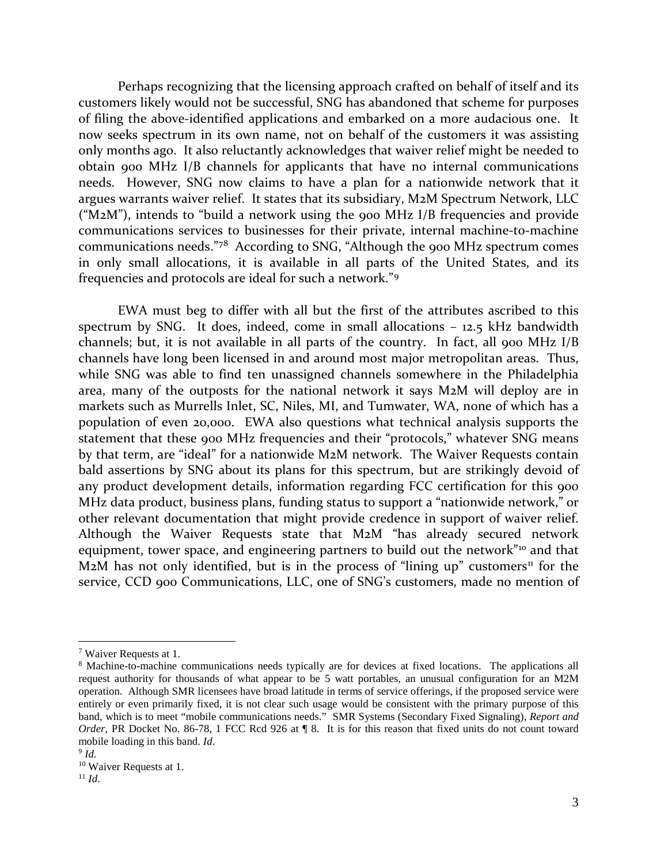Perhaps recognizing that the licensing approach crafted on behalf of itself and its customers likely would not be successful, SNG has abandoned that scheme for purposes of filing the above-identified applications and embarked on a more audacious one. It now seeks spectrum in its own name, not on behalf of the customers it was assisting only months ago. It also reluctantly acknowledges that waiver relief might be needed to obtain 900 MHz I/B channels for applicants that have no internal communications needs. However, SNG now claims to have a plan for a nationwide network that it argues warrants waiver relief. It states that its subsidiary, M2M Spectrum Network, LLC ("M2M"), intends to "build a network using the 900 MHz I/B frequencies and provide communications services to businesses for their private, internal machine-to-machine communications needs."[7](#page-2-0)[8](#page-2-1) According to SNG, "Although the 900 MHz spectrum comes in only small allocations, it is available in all parts of the United States, and its frequencies and protocols are ideal for such a network."[9](#page-2-2)

EWA must beg to differ with all but the first of the attributes ascribed to this spectrum by SNG. It does, indeed, come in small allocations – 12.5 kHz bandwidth channels; but, it is not available in all parts of the country. In fact, all 900 MHz I/B channels have long been licensed in and around most major metropolitan areas. Thus, while SNG was able to find ten unassigned channels somewhere in the Philadelphia area, many of the outposts for the national network it says M2M will deploy are in markets such as Murrells Inlet, SC, Niles, MI, and Tumwater, WA, none of which has a population of even 20,000. EWA also questions what technical analysis supports the statement that these 900 MHz frequencies and their "protocols," whatever SNG means by that term, are "ideal" for a nationwide M2M network. The Waiver Requests contain bald assertions by SNG about its plans for this spectrum, but are strikingly devoid of any product development details, information regarding FCC certification for this 900 MHz data product, business plans, funding status to support a "nationwide network," or other relevant documentation that might provide credence in support of waiver relief. Although the Waiver Requests state that M2M "has already secured network equipment, tower space, and engineering partners to build out the network"<sup>[10](#page-2-3)</sup> and that M<sub>2</sub>M has not only identified, but is in the process of "lining up" customers<sup>[11](#page-2-4)</sup> for the service, CCD 900 Communications, LLC, one of SNG's customers, made no mention of

<span id="page-2-0"></span><sup>7</sup> Waiver Requests at 1.

<span id="page-2-1"></span><sup>8</sup> Machine-to-machine communications needs typically are for devices at fixed locations. The applications all request authority for thousands of what appear to be 5 watt portables, an unusual configuration for an M2M operation. Although SMR licensees have broad latitude in terms of service offerings, if the proposed service were entirely or even primarily fixed, it is not clear such usage would be consistent with the primary purpose of this band, which is to meet "mobile communications needs." SMR Systems (Secondary Fixed Signaling), *Report and Order*, PR Docket No. 86-78, 1 FCC Rcd 926 at 18. It is for this reason that fixed units do not count toward mobile loading in this band. *Id*. <sup>9</sup> *Id*.

<span id="page-2-3"></span><span id="page-2-2"></span>

<sup>&</sup>lt;sup>10</sup> Waiver Requests at 1.

<span id="page-2-4"></span> $11$  *Id.*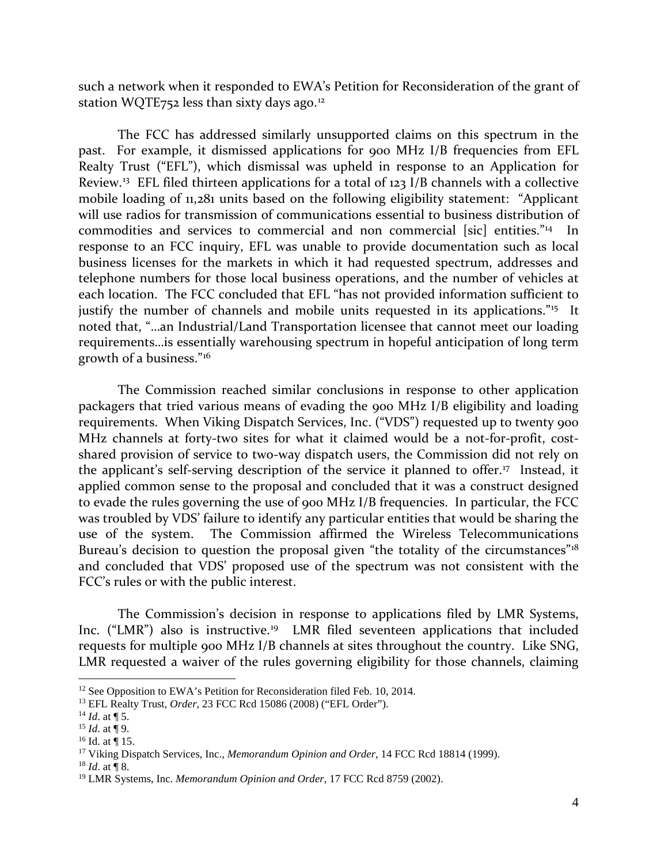such a network when it responded to EWA's Petition for Reconsideration of the grant of station WQTE752 less than sixty days ago.<sup>[12](#page-3-0)</sup>

The FCC has addressed similarly unsupported claims on this spectrum in the past. For example, it dismissed applications for 900 MHz I/B frequencies from EFL Realty Trust ("EFL"), which dismissal was upheld in response to an Application for Review.[13](#page-3-1) EFL filed thirteen applications for a total of 123 I/B channels with a collective mobile loading of 11,281 units based on the following eligibility statement: "Applicant will use radios for transmission of communications essential to business distribution of commodities and services to commercial and non commercial [sic] entities."[14](#page-3-2) In response to an FCC inquiry, EFL was unable to provide documentation such as local business licenses for the markets in which it had requested spectrum, addresses and telephone numbers for those local business operations, and the number of vehicles at each location. The FCC concluded that EFL "has not provided information sufficient to justify the number of channels and mobile units requested in its applications."<sup>15</sup> It noted that, "…an Industrial/Land Transportation licensee that cannot meet our loading requirements…is essentially warehousing spectrum in hopeful anticipation of long term growth of a business."[16](#page-3-4)

The Commission reached similar conclusions in response to other application packagers that tried various means of evading the 900 MHz I/B eligibility and loading requirements. When Viking Dispatch Services, Inc. ("VDS") requested up to twenty 900 MHz channels at forty-two sites for what it claimed would be a not-for-profit, costshared provision of service to two-way dispatch users, the Commission did not rely on the applicant's self-serving description of the service it planned to offer.<sup>[17](#page-3-5)</sup> Instead, it applied common sense to the proposal and concluded that it was a construct designed to evade the rules governing the use of 900 MHz I/B frequencies. In particular, the FCC was troubled by VDS' failure to identify any particular entities that would be sharing the use of the system. The Commission affirmed the Wireless Telecommunications Bureau's decision to question the proposal given "the totality of the circumstances"<sup>[18](#page-3-6)</sup> and concluded that VDS' proposed use of the spectrum was not consistent with the FCC's rules or with the public interest.

The Commission's decision in response to applications filed by LMR Systems, Inc. ("LMR") also is instructive. [19](#page-3-7) LMR filed seventeen applications that included requests for multiple 900 MHz I/B channels at sites throughout the country. Like SNG, LMR requested a waiver of the rules governing eligibility for those channels, claiming

<span id="page-3-0"></span><sup>&</sup>lt;sup>12</sup> See Opposition to EWA's Petition for Reconsideration filed Feb. 10, 2014.<br><sup>13</sup> EFL Realty Trust, *Order*, 23 FCC Rcd 15086 (2008) ("EFL Order").

<span id="page-3-1"></span>

<span id="page-3-2"></span><sup>&</sup>lt;sup>14</sup> *Id.* at  $\P$  5.

<span id="page-3-3"></span> $15$  *Id.* at ¶ 9.

<span id="page-3-4"></span> $16$  Id. at ¶ 15.

<span id="page-3-5"></span><sup>17</sup> Viking Dispatch Services, Inc., *Memorandum Opinion and Order*, 14 FCC Rcd 18814 (1999).

<span id="page-3-6"></span><sup>18</sup> *Id*. at ¶ 8.

<span id="page-3-7"></span><sup>19</sup> LMR Systems, Inc. *Memorandum Opinion and Order*, 17 FCC Rcd 8759 (2002).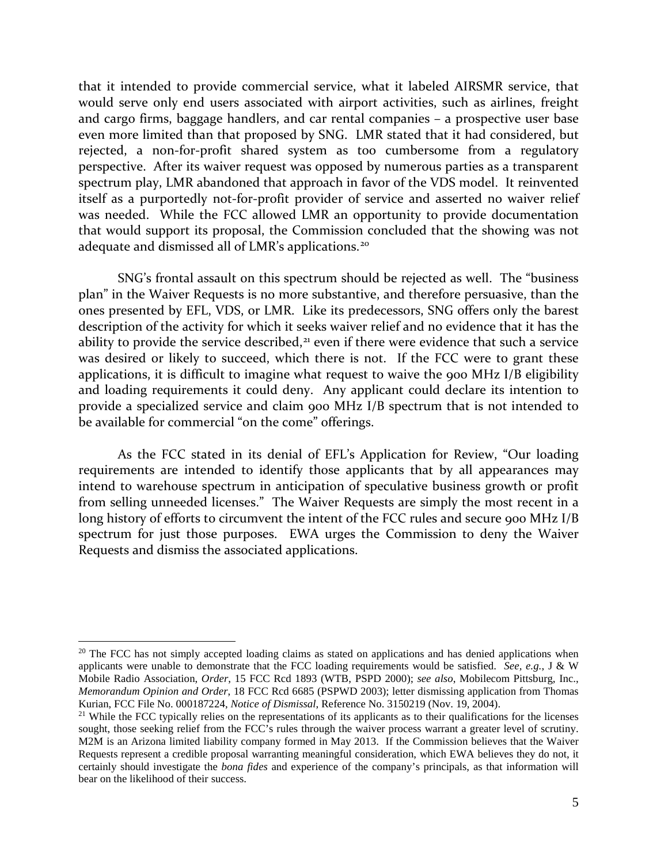that it intended to provide commercial service, what it labeled AIRSMR service, that would serve only end users associated with airport activities, such as airlines, freight and cargo firms, baggage handlers, and car rental companies – a prospective user base even more limited than that proposed by SNG. LMR stated that it had considered, but rejected, a non-for-profit shared system as too cumbersome from a regulatory perspective. After its waiver request was opposed by numerous parties as a transparent spectrum play, LMR abandoned that approach in favor of the VDS model. It reinvented itself as a purportedly not-for-profit provider of service and asserted no waiver relief was needed. While the FCC allowed LMR an opportunity to provide documentation that would support its proposal, the Commission concluded that the showing was not adequate and dismissed all of LMR's applications.[20](#page-4-0)

SNG's frontal assault on this spectrum should be rejected as well. The "business plan" in the Waiver Requests is no more substantive, and therefore persuasive, than the ones presented by EFL, VDS, or LMR. Like its predecessors, SNG offers only the barest description of the activity for which it seeks waiver relief and no evidence that it has the ability to provide the service described, $21$  even if there were evidence that such a service was desired or likely to succeed, which there is not. If the FCC were to grant these applications, it is difficult to imagine what request to waive the 900 MHz I/B eligibility and loading requirements it could deny. Any applicant could declare its intention to provide a specialized service and claim 900 MHz I/B spectrum that is not intended to be available for commercial "on the come" offerings.

As the FCC stated in its denial of EFL's Application for Review, "Our loading requirements are intended to identify those applicants that by all appearances may intend to warehouse spectrum in anticipation of speculative business growth or profit from selling unneeded licenses." The Waiver Requests are simply the most recent in a long history of efforts to circumvent the intent of the FCC rules and secure 900 MHz I/B spectrum for just those purposes. EWA urges the Commission to deny the Waiver Requests and dismiss the associated applications.

<span id="page-4-0"></span><sup>&</sup>lt;sup>20</sup> The FCC has not simply accepted loading claims as stated on applications and has denied applications when applicants were unable to demonstrate that the FCC loading requirements would be satisfied. *See, e.g.*, J & W Mobile Radio Association, *Order*, 15 FCC Rcd 1893 (WTB, PSPD 2000); *see also*, Mobilecom Pittsburg, Inc., *Memorandum Opinion and Order*, 18 FCC Rcd 6685 (PSPWD 2003); letter dismissing application from Thomas Kurian, FCC File No. 000187224, *Notice of Dismissal*, Reference No. 3150219 (Nov. 19, 2004).

<span id="page-4-1"></span><sup>&</sup>lt;sup>21</sup> While the FCC typically relies on the representations of its applicants as to their qualifications for the licenses sought, those seeking relief from the FCC's rules through the waiver process warrant a greater level of scrutiny. M2M is an Arizona limited liability company formed in May 2013. If the Commission believes that the Waiver Requests represent a credible proposal warranting meaningful consideration, which EWA believes they do not, it certainly should investigate the *bona fides* and experience of the company's principals, as that information will bear on the likelihood of their success.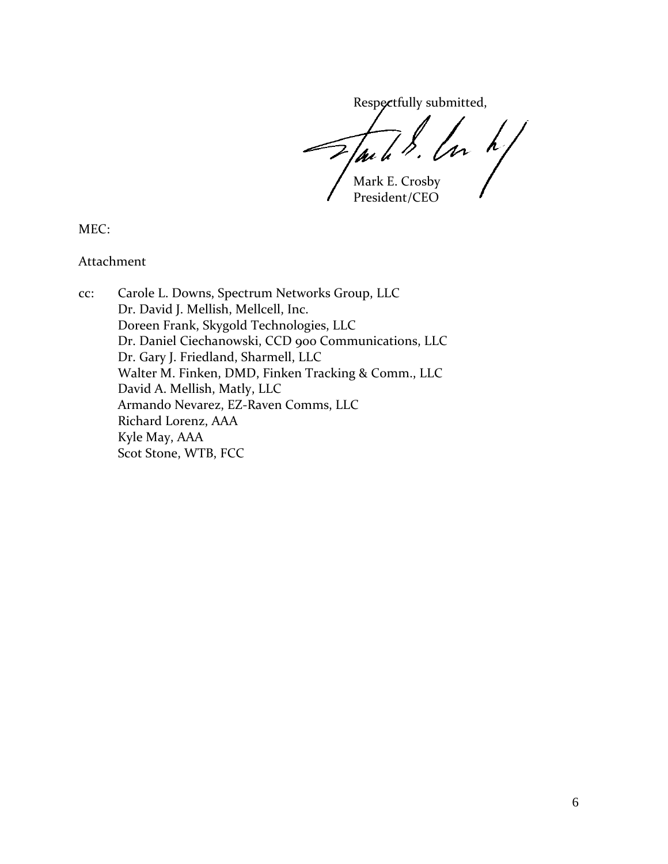Respectfully submitted,

 $\left\langle \begin{array}{c} \end{array} \right\rangle$ /pi i Mark E. Crosby

President/CEO

MEC:

Attachment

cc: Carole L. Downs, Spectrum Networks Group, LLC Dr. David J. Mellish, Mellcell, Inc. Doreen Frank, Skygold Technologies, LLC Dr. Daniel Ciechanowski, CCD 900 Communications, LLC Dr. Gary J. Friedland, Sharmell, LLC Walter M. Finken, DMD, Finken Tracking & Comm., LLC David A. Mellish, Matly, LLC Armando Nevarez, EZ-Raven Comms, LLC Richard Lorenz, AAA Kyle May, AAA Scot Stone, WTB, FCC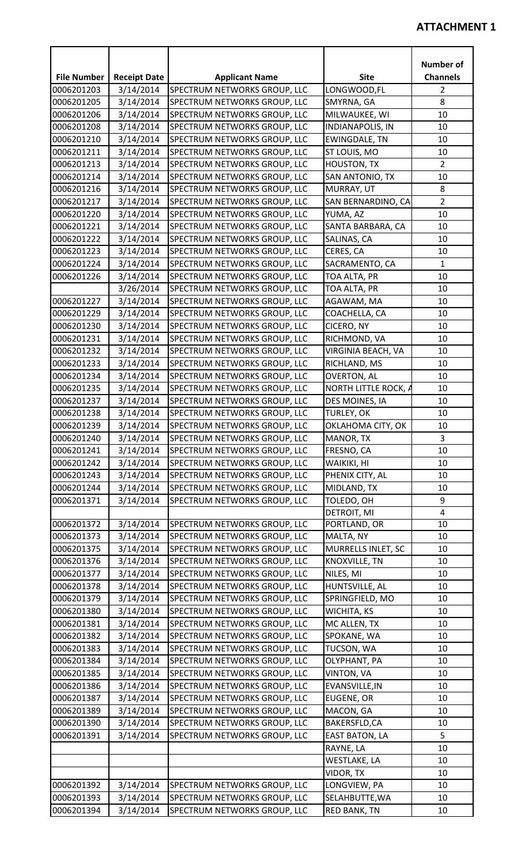|                    |                     |                              |                         | <b>Number of</b> |
|--------------------|---------------------|------------------------------|-------------------------|------------------|
| <b>File Number</b> | <b>Receipt Date</b> | <b>Applicant Name</b>        | <b>Site</b>             | <b>Channels</b>  |
| 0006201203         | 3/14/2014           | SPECTRUM NETWORKS GROUP, LLC | LONGWOOD, FL            | 2                |
| 0006201205         | 3/14/2014           | SPECTRUM NETWORKS GROUP, LLC | SMYRNA, GA              | 8                |
| 0006201206         | 3/14/2014           | SPECTRUM NETWORKS GROUP, LLC | MILWAUKEE, WI           | 10               |
| 0006201208         | 3/14/2014           | SPECTRUM NETWORKS GROUP, LLC | <b>INDIANAPOLIS, IN</b> | 10               |
| 0006201210         | 3/14/2014           | SPECTRUM NETWORKS GROUP, LLC | <b>EWINGDALE, TN</b>    | 10               |
| 0006201211         | 3/14/2014           | SPECTRUM NETWORKS GROUP, LLC | ST LOUIS, MO            | 10               |
| 0006201213         | 3/14/2014           | SPECTRUM NETWORKS GROUP, LLC | <b>HOUSTON, TX</b>      | $\overline{2}$   |
| 0006201214         | 3/14/2014           | SPECTRUM NETWORKS GROUP, LLC | SAN ANTONIO, TX         | 10               |
| 0006201216         | 3/14/2014           | SPECTRUM NETWORKS GROUP, LLC | MURRAY, UT              | 8                |
| 0006201217         | 3/14/2014           | SPECTRUM NETWORKS GROUP, LLC | SAN BERNARDINO, CA      | $\overline{2}$   |
| 0006201220         | 3/14/2014           | SPECTRUM NETWORKS GROUP, LLC | YUMA, AZ                | 10               |
| 0006201221         | 3/14/2014           | SPECTRUM NETWORKS GROUP, LLC | SANTA BARBARA, CA       | 10               |
| 0006201222         | 3/14/2014           | SPECTRUM NETWORKS GROUP, LLC | SALINAS, CA             | 10               |
| 0006201223         | 3/14/2014           | SPECTRUM NETWORKS GROUP, LLC | CERES, CA               | 10               |
| 0006201224         | 3/14/2014           | SPECTRUM NETWORKS GROUP, LLC | SACRAMENTO, CA          | $\mathbf{1}$     |
| 0006201226         | 3/14/2014           | SPECTRUM NETWORKS GROUP, LLC | TOA ALTA, PR            | 10               |
|                    | 3/26/2014           | SPECTRUM NETWORKS GROUP, LLC | TOA ALTA, PR            | 10               |
| 0006201227         | 3/14/2014           | SPECTRUM NETWORKS GROUP, LLC | AGAWAM, MA              | 10               |
| 0006201229         | 3/14/2014           | SPECTRUM NETWORKS GROUP, LLC | COACHELLA, CA           | 10               |
| 0006201230         | 3/14/2014           | SPECTRUM NETWORKS GROUP, LLC | CICERO, NY              | 10               |
| 0006201231         | 3/14/2014           | SPECTRUM NETWORKS GROUP, LLC | RICHMOND, VA            | 10               |
| 0006201232         | 3/14/2014           | SPECTRUM NETWORKS GROUP, LLC | VIRGINIA BEACH, VA      | 10               |
| 0006201233         | 3/14/2014           | SPECTRUM NETWORKS GROUP, LLC | RICHLAND, MS            | 10               |
| 0006201234         | 3/14/2014           | SPECTRUM NETWORKS GROUP, LLC | <b>OVERTON, AL</b>      | 10               |
| 0006201235         | 3/14/2014           | SPECTRUM NETWORKS GROUP, LLC | NORTH LITTLE ROCK, A    | 10               |
| 0006201237         | 3/14/2014           | SPECTRUM NETWORKS GROUP, LLC | DES MOINES, IA          | 10               |
| 0006201238         | 3/14/2014           | SPECTRUM NETWORKS GROUP, LLC | <b>TURLEY, OK</b>       | 10               |
| 0006201239         | 3/14/2014           | SPECTRUM NETWORKS GROUP, LLC | OKLAHOMA CITY, OK       | 10               |
| 0006201240         | 3/14/2014           | SPECTRUM NETWORKS GROUP, LLC | MANOR, TX               | 3                |
| 0006201241         | 3/14/2014           | SPECTRUM NETWORKS GROUP, LLC | FRESNO, CA              | 10               |
| 0006201242         | 3/14/2014           | SPECTRUM NETWORKS GROUP, LLC | WAIKIKI, HI             | 10               |
| 0006201243         | 3/14/2014           | SPECTRUM NETWORKS GROUP, LLC | PHENIX CITY, AL         | 10               |
| 0006201244         | 3/14/2014           | SPECTRUM NETWORKS GROUP, LLC | MIDLAND, TX             | 10               |
| 0006201371         | 3/14/2014           | SPECTRUM NETWORKS GROUP, LLC | TOLEDO, OH              | 9                |
|                    |                     |                              | DETROIT, MI             | $\overline{4}$   |
| 0006201372         | 3/14/2014           | SPECTRUM NETWORKS GROUP, LLC | PORTLAND, OR            | 10               |
| 0006201373         | 3/14/2014           | SPECTRUM NETWORKS GROUP, LLC | MALTA, NY               | 10               |
| 0006201375         | 3/14/2014           | SPECTRUM NETWORKS GROUP, LLC | MURRELLS INLET, SC      | 10               |
| 0006201376         | 3/14/2014           | SPECTRUM NETWORKS GROUP, LLC | KNOXVILLE, TN           | 10               |
| 0006201377         | 3/14/2014           | SPECTRUM NETWORKS GROUP, LLC | NILES, MI               | 10               |
| 0006201378         | 3/14/2014           | SPECTRUM NETWORKS GROUP, LLC | HUNTSVILLE, AL          | 10               |
| 0006201379         | 3/14/2014           | SPECTRUM NETWORKS GROUP, LLC | SPRINGFIELD, MO         | 10               |
| 0006201380         | 3/14/2014           | SPECTRUM NETWORKS GROUP, LLC | WICHITA, KS             | 10               |
| 0006201381         | 3/14/2014           | SPECTRUM NETWORKS GROUP, LLC | MC ALLEN, TX            | 10               |
| 0006201382         | 3/14/2014           | SPECTRUM NETWORKS GROUP, LLC | SPOKANE, WA             | 10               |
| 0006201383         | 3/14/2014           | SPECTRUM NETWORKS GROUP, LLC | TUCSON, WA              | 10               |
| 0006201384         | 3/14/2014           | SPECTRUM NETWORKS GROUP, LLC | OLYPHANT, PA            | 10               |
| 0006201385         | 3/14/2014           | SPECTRUM NETWORKS GROUP, LLC | VINTON, VA              | 10               |
| 0006201386         | 3/14/2014           | SPECTRUM NETWORKS GROUP, LLC | EVANSVILLE, IN          | 10               |
| 0006201387         | 3/14/2014           | SPECTRUM NETWORKS GROUP, LLC | EUGENE, OR              | 10               |
| 0006201389         | 3/14/2014           | SPECTRUM NETWORKS GROUP, LLC | MACON, GA               | 10               |
| 0006201390         | 3/14/2014           | SPECTRUM NETWORKS GROUP, LLC | BAKERSFLD, CA           | 10               |
| 0006201391         | 3/14/2014           | SPECTRUM NETWORKS GROUP, LLC | <b>EAST BATON, LA</b>   | 5                |
|                    |                     |                              | RAYNE, LA               | 10               |
|                    |                     |                              | <b>WESTLAKE, LA</b>     | 10               |
|                    |                     |                              | VIDOR, TX               | 10               |
| 0006201392         | 3/14/2014           | SPECTRUM NETWORKS GROUP, LLC | LONGVIEW, PA            | 10               |
| 0006201393         | 3/14/2014           | SPECTRUM NETWORKS GROUP, LLC | SELAHBUTTE, WA          | 10               |
| 0006201394         | 3/14/2014           | SPECTRUM NETWORKS GROUP, LLC | <b>RED BANK, TN</b>     | 10               |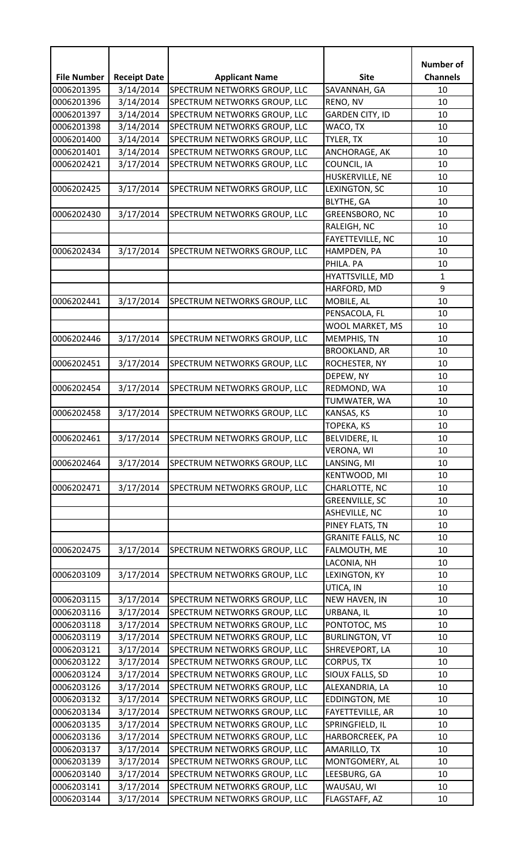| <b>Site</b><br><b>File Number</b><br><b>Receipt Date</b><br><b>Channels</b><br><b>Applicant Name</b><br>3/14/2014<br>SPECTRUM NETWORKS GROUP, LLC<br>0006201395<br>SAVANNAH, GA<br>10<br>3/14/2014<br>SPECTRUM NETWORKS GROUP, LLC<br>RENO, NV<br>10<br>0006201396<br>3/14/2014<br>SPECTRUM NETWORKS GROUP, LLC<br><b>GARDEN CITY, ID</b><br>0006201397<br>10<br>3/14/2014<br>SPECTRUM NETWORKS GROUP, LLC<br>WACO, TX<br>0006201398<br>10<br>0006201400<br>3/14/2014<br>SPECTRUM NETWORKS GROUP, LLC<br>TYLER, TX<br>10<br>0006201401<br>3/14/2014<br>SPECTRUM NETWORKS GROUP, LLC<br>ANCHORAGE, AK<br>10<br>3/17/2014<br>SPECTRUM NETWORKS GROUP, LLC<br>COUNCIL, IA<br>10<br>0006202421<br>HUSKERVILLE, NE<br>10<br>3/17/2014<br>0006202425<br>LEXINGTON, SC<br>10<br>SPECTRUM NETWORKS GROUP, LLC<br><b>BLYTHE, GA</b><br>10<br>3/17/2014<br>SPECTRUM NETWORKS GROUP, LLC<br>0006202430<br>GREENSBORO, NC<br>10<br>RALEIGH, NC<br>10<br>FAYETTEVILLE, NC<br>10<br>0006202434<br>3/17/2014<br>SPECTRUM NETWORKS GROUP, LLC<br>10<br>HAMPDEN, PA<br>PHILA. PA<br>10<br>HYATTSVILLE, MD<br>$\mathbf{1}$<br>9<br>HARFORD, MD<br>0006202441<br>3/17/2014<br>MOBILE, AL<br>SPECTRUM NETWORKS GROUP, LLC<br>10<br>PENSACOLA, FL<br>10<br>WOOL MARKET, MS<br>10<br>3/17/2014<br>SPECTRUM NETWORKS GROUP, LLC<br>0006202446<br>MEMPHIS, TN<br>10<br><b>BROOKLAND, AR</b><br>10<br>0006202451<br>3/17/2014<br>SPECTRUM NETWORKS GROUP, LLC<br>ROCHESTER, NY<br>10<br>DEPEW, NY<br>10<br>0006202454<br>REDMOND, WA<br>3/17/2014<br>SPECTRUM NETWORKS GROUP, LLC<br>10<br>10<br>TUMWATER, WA<br>3/17/2014<br>0006202458<br>SPECTRUM NETWORKS GROUP, LLC<br>KANSAS, KS<br>10<br><b>TOPEKA, KS</b><br>10<br>0006202461<br>3/17/2014<br>SPECTRUM NETWORKS GROUP, LLC<br><b>BELVIDERE, IL</b><br>10<br><b>VERONA, WI</b><br>10<br>3/17/2014<br>0006202464<br>SPECTRUM NETWORKS GROUP, LLC<br>LANSING, MI<br>10<br>KENTWOOD, MI<br>10<br>3/17/2014<br>0006202471<br>SPECTRUM NETWORKS GROUP, LLC<br>CHARLOTTE, NC<br>10<br><b>GREENVILLE, SC</b><br>10<br>ASHEVILLE, NC<br>10<br>PINEY FLATS, TN<br>10<br><b>GRANITE FALLS, NC</b><br>10<br>3/17/2014<br>SPECTRUM NETWORKS GROUP, LLC<br>10<br>0006202475<br>FALMOUTH, ME<br>LACONIA, NH<br>10<br>3/17/2014<br>0006203109<br>SPECTRUM NETWORKS GROUP, LLC<br>LEXINGTON, KY<br>10<br>UTICA, IN<br>10<br>0006203115<br>3/17/2014<br>SPECTRUM NETWORKS GROUP, LLC<br>10<br>NEW HAVEN, IN<br>3/17/2014<br>0006203116<br>SPECTRUM NETWORKS GROUP, LLC<br>URBANA, IL<br>10<br>0006203118<br>3/17/2014<br>SPECTRUM NETWORKS GROUP, LLC<br>PONTOTOC, MS<br>10<br>3/17/2014<br>0006203119<br>SPECTRUM NETWORKS GROUP, LLC<br><b>BURLINGTON, VT</b><br>10<br>3/17/2014<br>0006203121<br>SPECTRUM NETWORKS GROUP, LLC<br>SHREVEPORT, LA<br>10<br>3/17/2014<br>SPECTRUM NETWORKS GROUP, LLC<br>0006203122<br><b>CORPUS, TX</b><br>10<br>3/17/2014<br>0006203124<br>SPECTRUM NETWORKS GROUP, LLC<br>SIOUX FALLS, SD<br>10<br>3/17/2014<br>SPECTRUM NETWORKS GROUP, LLC<br>0006203126<br>10<br>ALEXANDRIA, LA<br>3/17/2014<br>0006203132<br>SPECTRUM NETWORKS GROUP, LLC<br>10<br>EDDINGTON, ME<br>0006203134<br>3/17/2014<br>SPECTRUM NETWORKS GROUP, LLC<br>FAYETTEVILLE, AR<br>10<br>3/17/2014<br>SPECTRUM NETWORKS GROUP, LLC<br>0006203135<br>SPRINGFIELD, IL<br>10<br>3/17/2014<br>SPECTRUM NETWORKS GROUP, LLC<br>0006203136<br>HARBORCREEK, PA<br>10<br>0006203137<br>3/17/2014<br>SPECTRUM NETWORKS GROUP, LLC<br>AMARILLO, TX<br>10<br>0006203139<br>3/17/2014<br>SPECTRUM NETWORKS GROUP, LLC<br>MONTGOMERY, AL<br>10<br>0006203140<br>3/17/2014<br>SPECTRUM NETWORKS GROUP, LLC<br>LEESBURG, GA<br>10<br>3/17/2014<br>SPECTRUM NETWORKS GROUP, LLC<br>0006203141<br>WAUSAU, WI<br>10 |            |  | <b>Number of</b> |
|-----------------------------------------------------------------------------------------------------------------------------------------------------------------------------------------------------------------------------------------------------------------------------------------------------------------------------------------------------------------------------------------------------------------------------------------------------------------------------------------------------------------------------------------------------------------------------------------------------------------------------------------------------------------------------------------------------------------------------------------------------------------------------------------------------------------------------------------------------------------------------------------------------------------------------------------------------------------------------------------------------------------------------------------------------------------------------------------------------------------------------------------------------------------------------------------------------------------------------------------------------------------------------------------------------------------------------------------------------------------------------------------------------------------------------------------------------------------------------------------------------------------------------------------------------------------------------------------------------------------------------------------------------------------------------------------------------------------------------------------------------------------------------------------------------------------------------------------------------------------------------------------------------------------------------------------------------------------------------------------------------------------------------------------------------------------------------------------------------------------------------------------------------------------------------------------------------------------------------------------------------------------------------------------------------------------------------------------------------------------------------------------------------------------------------------------------------------------------------------------------------------------------------------------------------------------------------------------------------------------------------------------------------------------------------------------------------------------------------------------------------------------------------------------------------------------------------------------------------------------------------------------------------------------------------------------------------------------------------------------------------------------------------------------------------------------------------------------------------------------------------------------------------------------------------------------------------------------------------------------------------------------------------------------------------------------------------------------------------------------------------------------------------------------------------------------------------------------------------------------------------------------------------------------------------------------------------------------------------------------------------------------------------------------------------------------------------------------------|------------|--|------------------|
|                                                                                                                                                                                                                                                                                                                                                                                                                                                                                                                                                                                                                                                                                                                                                                                                                                                                                                                                                                                                                                                                                                                                                                                                                                                                                                                                                                                                                                                                                                                                                                                                                                                                                                                                                                                                                                                                                                                                                                                                                                                                                                                                                                                                                                                                                                                                                                                                                                                                                                                                                                                                                                                                                                                                                                                                                                                                                                                                                                                                                                                                                                                                                                                                                                                                                                                                                                                                                                                                                                                                                                                                                                                                                                                       |            |  |                  |
|                                                                                                                                                                                                                                                                                                                                                                                                                                                                                                                                                                                                                                                                                                                                                                                                                                                                                                                                                                                                                                                                                                                                                                                                                                                                                                                                                                                                                                                                                                                                                                                                                                                                                                                                                                                                                                                                                                                                                                                                                                                                                                                                                                                                                                                                                                                                                                                                                                                                                                                                                                                                                                                                                                                                                                                                                                                                                                                                                                                                                                                                                                                                                                                                                                                                                                                                                                                                                                                                                                                                                                                                                                                                                                                       |            |  |                  |
|                                                                                                                                                                                                                                                                                                                                                                                                                                                                                                                                                                                                                                                                                                                                                                                                                                                                                                                                                                                                                                                                                                                                                                                                                                                                                                                                                                                                                                                                                                                                                                                                                                                                                                                                                                                                                                                                                                                                                                                                                                                                                                                                                                                                                                                                                                                                                                                                                                                                                                                                                                                                                                                                                                                                                                                                                                                                                                                                                                                                                                                                                                                                                                                                                                                                                                                                                                                                                                                                                                                                                                                                                                                                                                                       |            |  |                  |
|                                                                                                                                                                                                                                                                                                                                                                                                                                                                                                                                                                                                                                                                                                                                                                                                                                                                                                                                                                                                                                                                                                                                                                                                                                                                                                                                                                                                                                                                                                                                                                                                                                                                                                                                                                                                                                                                                                                                                                                                                                                                                                                                                                                                                                                                                                                                                                                                                                                                                                                                                                                                                                                                                                                                                                                                                                                                                                                                                                                                                                                                                                                                                                                                                                                                                                                                                                                                                                                                                                                                                                                                                                                                                                                       |            |  |                  |
|                                                                                                                                                                                                                                                                                                                                                                                                                                                                                                                                                                                                                                                                                                                                                                                                                                                                                                                                                                                                                                                                                                                                                                                                                                                                                                                                                                                                                                                                                                                                                                                                                                                                                                                                                                                                                                                                                                                                                                                                                                                                                                                                                                                                                                                                                                                                                                                                                                                                                                                                                                                                                                                                                                                                                                                                                                                                                                                                                                                                                                                                                                                                                                                                                                                                                                                                                                                                                                                                                                                                                                                                                                                                                                                       |            |  |                  |
|                                                                                                                                                                                                                                                                                                                                                                                                                                                                                                                                                                                                                                                                                                                                                                                                                                                                                                                                                                                                                                                                                                                                                                                                                                                                                                                                                                                                                                                                                                                                                                                                                                                                                                                                                                                                                                                                                                                                                                                                                                                                                                                                                                                                                                                                                                                                                                                                                                                                                                                                                                                                                                                                                                                                                                                                                                                                                                                                                                                                                                                                                                                                                                                                                                                                                                                                                                                                                                                                                                                                                                                                                                                                                                                       |            |  |                  |
|                                                                                                                                                                                                                                                                                                                                                                                                                                                                                                                                                                                                                                                                                                                                                                                                                                                                                                                                                                                                                                                                                                                                                                                                                                                                                                                                                                                                                                                                                                                                                                                                                                                                                                                                                                                                                                                                                                                                                                                                                                                                                                                                                                                                                                                                                                                                                                                                                                                                                                                                                                                                                                                                                                                                                                                                                                                                                                                                                                                                                                                                                                                                                                                                                                                                                                                                                                                                                                                                                                                                                                                                                                                                                                                       |            |  |                  |
|                                                                                                                                                                                                                                                                                                                                                                                                                                                                                                                                                                                                                                                                                                                                                                                                                                                                                                                                                                                                                                                                                                                                                                                                                                                                                                                                                                                                                                                                                                                                                                                                                                                                                                                                                                                                                                                                                                                                                                                                                                                                                                                                                                                                                                                                                                                                                                                                                                                                                                                                                                                                                                                                                                                                                                                                                                                                                                                                                                                                                                                                                                                                                                                                                                                                                                                                                                                                                                                                                                                                                                                                                                                                                                                       |            |  |                  |
|                                                                                                                                                                                                                                                                                                                                                                                                                                                                                                                                                                                                                                                                                                                                                                                                                                                                                                                                                                                                                                                                                                                                                                                                                                                                                                                                                                                                                                                                                                                                                                                                                                                                                                                                                                                                                                                                                                                                                                                                                                                                                                                                                                                                                                                                                                                                                                                                                                                                                                                                                                                                                                                                                                                                                                                                                                                                                                                                                                                                                                                                                                                                                                                                                                                                                                                                                                                                                                                                                                                                                                                                                                                                                                                       |            |  |                  |
|                                                                                                                                                                                                                                                                                                                                                                                                                                                                                                                                                                                                                                                                                                                                                                                                                                                                                                                                                                                                                                                                                                                                                                                                                                                                                                                                                                                                                                                                                                                                                                                                                                                                                                                                                                                                                                                                                                                                                                                                                                                                                                                                                                                                                                                                                                                                                                                                                                                                                                                                                                                                                                                                                                                                                                                                                                                                                                                                                                                                                                                                                                                                                                                                                                                                                                                                                                                                                                                                                                                                                                                                                                                                                                                       |            |  |                  |
|                                                                                                                                                                                                                                                                                                                                                                                                                                                                                                                                                                                                                                                                                                                                                                                                                                                                                                                                                                                                                                                                                                                                                                                                                                                                                                                                                                                                                                                                                                                                                                                                                                                                                                                                                                                                                                                                                                                                                                                                                                                                                                                                                                                                                                                                                                                                                                                                                                                                                                                                                                                                                                                                                                                                                                                                                                                                                                                                                                                                                                                                                                                                                                                                                                                                                                                                                                                                                                                                                                                                                                                                                                                                                                                       |            |  |                  |
|                                                                                                                                                                                                                                                                                                                                                                                                                                                                                                                                                                                                                                                                                                                                                                                                                                                                                                                                                                                                                                                                                                                                                                                                                                                                                                                                                                                                                                                                                                                                                                                                                                                                                                                                                                                                                                                                                                                                                                                                                                                                                                                                                                                                                                                                                                                                                                                                                                                                                                                                                                                                                                                                                                                                                                                                                                                                                                                                                                                                                                                                                                                                                                                                                                                                                                                                                                                                                                                                                                                                                                                                                                                                                                                       |            |  |                  |
|                                                                                                                                                                                                                                                                                                                                                                                                                                                                                                                                                                                                                                                                                                                                                                                                                                                                                                                                                                                                                                                                                                                                                                                                                                                                                                                                                                                                                                                                                                                                                                                                                                                                                                                                                                                                                                                                                                                                                                                                                                                                                                                                                                                                                                                                                                                                                                                                                                                                                                                                                                                                                                                                                                                                                                                                                                                                                                                                                                                                                                                                                                                                                                                                                                                                                                                                                                                                                                                                                                                                                                                                                                                                                                                       |            |  |                  |
|                                                                                                                                                                                                                                                                                                                                                                                                                                                                                                                                                                                                                                                                                                                                                                                                                                                                                                                                                                                                                                                                                                                                                                                                                                                                                                                                                                                                                                                                                                                                                                                                                                                                                                                                                                                                                                                                                                                                                                                                                                                                                                                                                                                                                                                                                                                                                                                                                                                                                                                                                                                                                                                                                                                                                                                                                                                                                                                                                                                                                                                                                                                                                                                                                                                                                                                                                                                                                                                                                                                                                                                                                                                                                                                       |            |  |                  |
|                                                                                                                                                                                                                                                                                                                                                                                                                                                                                                                                                                                                                                                                                                                                                                                                                                                                                                                                                                                                                                                                                                                                                                                                                                                                                                                                                                                                                                                                                                                                                                                                                                                                                                                                                                                                                                                                                                                                                                                                                                                                                                                                                                                                                                                                                                                                                                                                                                                                                                                                                                                                                                                                                                                                                                                                                                                                                                                                                                                                                                                                                                                                                                                                                                                                                                                                                                                                                                                                                                                                                                                                                                                                                                                       |            |  |                  |
|                                                                                                                                                                                                                                                                                                                                                                                                                                                                                                                                                                                                                                                                                                                                                                                                                                                                                                                                                                                                                                                                                                                                                                                                                                                                                                                                                                                                                                                                                                                                                                                                                                                                                                                                                                                                                                                                                                                                                                                                                                                                                                                                                                                                                                                                                                                                                                                                                                                                                                                                                                                                                                                                                                                                                                                                                                                                                                                                                                                                                                                                                                                                                                                                                                                                                                                                                                                                                                                                                                                                                                                                                                                                                                                       |            |  |                  |
|                                                                                                                                                                                                                                                                                                                                                                                                                                                                                                                                                                                                                                                                                                                                                                                                                                                                                                                                                                                                                                                                                                                                                                                                                                                                                                                                                                                                                                                                                                                                                                                                                                                                                                                                                                                                                                                                                                                                                                                                                                                                                                                                                                                                                                                                                                                                                                                                                                                                                                                                                                                                                                                                                                                                                                                                                                                                                                                                                                                                                                                                                                                                                                                                                                                                                                                                                                                                                                                                                                                                                                                                                                                                                                                       |            |  |                  |
|                                                                                                                                                                                                                                                                                                                                                                                                                                                                                                                                                                                                                                                                                                                                                                                                                                                                                                                                                                                                                                                                                                                                                                                                                                                                                                                                                                                                                                                                                                                                                                                                                                                                                                                                                                                                                                                                                                                                                                                                                                                                                                                                                                                                                                                                                                                                                                                                                                                                                                                                                                                                                                                                                                                                                                                                                                                                                                                                                                                                                                                                                                                                                                                                                                                                                                                                                                                                                                                                                                                                                                                                                                                                                                                       |            |  |                  |
|                                                                                                                                                                                                                                                                                                                                                                                                                                                                                                                                                                                                                                                                                                                                                                                                                                                                                                                                                                                                                                                                                                                                                                                                                                                                                                                                                                                                                                                                                                                                                                                                                                                                                                                                                                                                                                                                                                                                                                                                                                                                                                                                                                                                                                                                                                                                                                                                                                                                                                                                                                                                                                                                                                                                                                                                                                                                                                                                                                                                                                                                                                                                                                                                                                                                                                                                                                                                                                                                                                                                                                                                                                                                                                                       |            |  |                  |
|                                                                                                                                                                                                                                                                                                                                                                                                                                                                                                                                                                                                                                                                                                                                                                                                                                                                                                                                                                                                                                                                                                                                                                                                                                                                                                                                                                                                                                                                                                                                                                                                                                                                                                                                                                                                                                                                                                                                                                                                                                                                                                                                                                                                                                                                                                                                                                                                                                                                                                                                                                                                                                                                                                                                                                                                                                                                                                                                                                                                                                                                                                                                                                                                                                                                                                                                                                                                                                                                                                                                                                                                                                                                                                                       |            |  |                  |
|                                                                                                                                                                                                                                                                                                                                                                                                                                                                                                                                                                                                                                                                                                                                                                                                                                                                                                                                                                                                                                                                                                                                                                                                                                                                                                                                                                                                                                                                                                                                                                                                                                                                                                                                                                                                                                                                                                                                                                                                                                                                                                                                                                                                                                                                                                                                                                                                                                                                                                                                                                                                                                                                                                                                                                                                                                                                                                                                                                                                                                                                                                                                                                                                                                                                                                                                                                                                                                                                                                                                                                                                                                                                                                                       |            |  |                  |
|                                                                                                                                                                                                                                                                                                                                                                                                                                                                                                                                                                                                                                                                                                                                                                                                                                                                                                                                                                                                                                                                                                                                                                                                                                                                                                                                                                                                                                                                                                                                                                                                                                                                                                                                                                                                                                                                                                                                                                                                                                                                                                                                                                                                                                                                                                                                                                                                                                                                                                                                                                                                                                                                                                                                                                                                                                                                                                                                                                                                                                                                                                                                                                                                                                                                                                                                                                                                                                                                                                                                                                                                                                                                                                                       |            |  |                  |
|                                                                                                                                                                                                                                                                                                                                                                                                                                                                                                                                                                                                                                                                                                                                                                                                                                                                                                                                                                                                                                                                                                                                                                                                                                                                                                                                                                                                                                                                                                                                                                                                                                                                                                                                                                                                                                                                                                                                                                                                                                                                                                                                                                                                                                                                                                                                                                                                                                                                                                                                                                                                                                                                                                                                                                                                                                                                                                                                                                                                                                                                                                                                                                                                                                                                                                                                                                                                                                                                                                                                                                                                                                                                                                                       |            |  |                  |
|                                                                                                                                                                                                                                                                                                                                                                                                                                                                                                                                                                                                                                                                                                                                                                                                                                                                                                                                                                                                                                                                                                                                                                                                                                                                                                                                                                                                                                                                                                                                                                                                                                                                                                                                                                                                                                                                                                                                                                                                                                                                                                                                                                                                                                                                                                                                                                                                                                                                                                                                                                                                                                                                                                                                                                                                                                                                                                                                                                                                                                                                                                                                                                                                                                                                                                                                                                                                                                                                                                                                                                                                                                                                                                                       |            |  |                  |
|                                                                                                                                                                                                                                                                                                                                                                                                                                                                                                                                                                                                                                                                                                                                                                                                                                                                                                                                                                                                                                                                                                                                                                                                                                                                                                                                                                                                                                                                                                                                                                                                                                                                                                                                                                                                                                                                                                                                                                                                                                                                                                                                                                                                                                                                                                                                                                                                                                                                                                                                                                                                                                                                                                                                                                                                                                                                                                                                                                                                                                                                                                                                                                                                                                                                                                                                                                                                                                                                                                                                                                                                                                                                                                                       |            |  |                  |
|                                                                                                                                                                                                                                                                                                                                                                                                                                                                                                                                                                                                                                                                                                                                                                                                                                                                                                                                                                                                                                                                                                                                                                                                                                                                                                                                                                                                                                                                                                                                                                                                                                                                                                                                                                                                                                                                                                                                                                                                                                                                                                                                                                                                                                                                                                                                                                                                                                                                                                                                                                                                                                                                                                                                                                                                                                                                                                                                                                                                                                                                                                                                                                                                                                                                                                                                                                                                                                                                                                                                                                                                                                                                                                                       |            |  |                  |
|                                                                                                                                                                                                                                                                                                                                                                                                                                                                                                                                                                                                                                                                                                                                                                                                                                                                                                                                                                                                                                                                                                                                                                                                                                                                                                                                                                                                                                                                                                                                                                                                                                                                                                                                                                                                                                                                                                                                                                                                                                                                                                                                                                                                                                                                                                                                                                                                                                                                                                                                                                                                                                                                                                                                                                                                                                                                                                                                                                                                                                                                                                                                                                                                                                                                                                                                                                                                                                                                                                                                                                                                                                                                                                                       |            |  |                  |
|                                                                                                                                                                                                                                                                                                                                                                                                                                                                                                                                                                                                                                                                                                                                                                                                                                                                                                                                                                                                                                                                                                                                                                                                                                                                                                                                                                                                                                                                                                                                                                                                                                                                                                                                                                                                                                                                                                                                                                                                                                                                                                                                                                                                                                                                                                                                                                                                                                                                                                                                                                                                                                                                                                                                                                                                                                                                                                                                                                                                                                                                                                                                                                                                                                                                                                                                                                                                                                                                                                                                                                                                                                                                                                                       |            |  |                  |
|                                                                                                                                                                                                                                                                                                                                                                                                                                                                                                                                                                                                                                                                                                                                                                                                                                                                                                                                                                                                                                                                                                                                                                                                                                                                                                                                                                                                                                                                                                                                                                                                                                                                                                                                                                                                                                                                                                                                                                                                                                                                                                                                                                                                                                                                                                                                                                                                                                                                                                                                                                                                                                                                                                                                                                                                                                                                                                                                                                                                                                                                                                                                                                                                                                                                                                                                                                                                                                                                                                                                                                                                                                                                                                                       |            |  |                  |
|                                                                                                                                                                                                                                                                                                                                                                                                                                                                                                                                                                                                                                                                                                                                                                                                                                                                                                                                                                                                                                                                                                                                                                                                                                                                                                                                                                                                                                                                                                                                                                                                                                                                                                                                                                                                                                                                                                                                                                                                                                                                                                                                                                                                                                                                                                                                                                                                                                                                                                                                                                                                                                                                                                                                                                                                                                                                                                                                                                                                                                                                                                                                                                                                                                                                                                                                                                                                                                                                                                                                                                                                                                                                                                                       |            |  |                  |
|                                                                                                                                                                                                                                                                                                                                                                                                                                                                                                                                                                                                                                                                                                                                                                                                                                                                                                                                                                                                                                                                                                                                                                                                                                                                                                                                                                                                                                                                                                                                                                                                                                                                                                                                                                                                                                                                                                                                                                                                                                                                                                                                                                                                                                                                                                                                                                                                                                                                                                                                                                                                                                                                                                                                                                                                                                                                                                                                                                                                                                                                                                                                                                                                                                                                                                                                                                                                                                                                                                                                                                                                                                                                                                                       |            |  |                  |
|                                                                                                                                                                                                                                                                                                                                                                                                                                                                                                                                                                                                                                                                                                                                                                                                                                                                                                                                                                                                                                                                                                                                                                                                                                                                                                                                                                                                                                                                                                                                                                                                                                                                                                                                                                                                                                                                                                                                                                                                                                                                                                                                                                                                                                                                                                                                                                                                                                                                                                                                                                                                                                                                                                                                                                                                                                                                                                                                                                                                                                                                                                                                                                                                                                                                                                                                                                                                                                                                                                                                                                                                                                                                                                                       |            |  |                  |
|                                                                                                                                                                                                                                                                                                                                                                                                                                                                                                                                                                                                                                                                                                                                                                                                                                                                                                                                                                                                                                                                                                                                                                                                                                                                                                                                                                                                                                                                                                                                                                                                                                                                                                                                                                                                                                                                                                                                                                                                                                                                                                                                                                                                                                                                                                                                                                                                                                                                                                                                                                                                                                                                                                                                                                                                                                                                                                                                                                                                                                                                                                                                                                                                                                                                                                                                                                                                                                                                                                                                                                                                                                                                                                                       |            |  |                  |
|                                                                                                                                                                                                                                                                                                                                                                                                                                                                                                                                                                                                                                                                                                                                                                                                                                                                                                                                                                                                                                                                                                                                                                                                                                                                                                                                                                                                                                                                                                                                                                                                                                                                                                                                                                                                                                                                                                                                                                                                                                                                                                                                                                                                                                                                                                                                                                                                                                                                                                                                                                                                                                                                                                                                                                                                                                                                                                                                                                                                                                                                                                                                                                                                                                                                                                                                                                                                                                                                                                                                                                                                                                                                                                                       |            |  |                  |
|                                                                                                                                                                                                                                                                                                                                                                                                                                                                                                                                                                                                                                                                                                                                                                                                                                                                                                                                                                                                                                                                                                                                                                                                                                                                                                                                                                                                                                                                                                                                                                                                                                                                                                                                                                                                                                                                                                                                                                                                                                                                                                                                                                                                                                                                                                                                                                                                                                                                                                                                                                                                                                                                                                                                                                                                                                                                                                                                                                                                                                                                                                                                                                                                                                                                                                                                                                                                                                                                                                                                                                                                                                                                                                                       |            |  |                  |
|                                                                                                                                                                                                                                                                                                                                                                                                                                                                                                                                                                                                                                                                                                                                                                                                                                                                                                                                                                                                                                                                                                                                                                                                                                                                                                                                                                                                                                                                                                                                                                                                                                                                                                                                                                                                                                                                                                                                                                                                                                                                                                                                                                                                                                                                                                                                                                                                                                                                                                                                                                                                                                                                                                                                                                                                                                                                                                                                                                                                                                                                                                                                                                                                                                                                                                                                                                                                                                                                                                                                                                                                                                                                                                                       |            |  |                  |
|                                                                                                                                                                                                                                                                                                                                                                                                                                                                                                                                                                                                                                                                                                                                                                                                                                                                                                                                                                                                                                                                                                                                                                                                                                                                                                                                                                                                                                                                                                                                                                                                                                                                                                                                                                                                                                                                                                                                                                                                                                                                                                                                                                                                                                                                                                                                                                                                                                                                                                                                                                                                                                                                                                                                                                                                                                                                                                                                                                                                                                                                                                                                                                                                                                                                                                                                                                                                                                                                                                                                                                                                                                                                                                                       |            |  |                  |
|                                                                                                                                                                                                                                                                                                                                                                                                                                                                                                                                                                                                                                                                                                                                                                                                                                                                                                                                                                                                                                                                                                                                                                                                                                                                                                                                                                                                                                                                                                                                                                                                                                                                                                                                                                                                                                                                                                                                                                                                                                                                                                                                                                                                                                                                                                                                                                                                                                                                                                                                                                                                                                                                                                                                                                                                                                                                                                                                                                                                                                                                                                                                                                                                                                                                                                                                                                                                                                                                                                                                                                                                                                                                                                                       |            |  |                  |
|                                                                                                                                                                                                                                                                                                                                                                                                                                                                                                                                                                                                                                                                                                                                                                                                                                                                                                                                                                                                                                                                                                                                                                                                                                                                                                                                                                                                                                                                                                                                                                                                                                                                                                                                                                                                                                                                                                                                                                                                                                                                                                                                                                                                                                                                                                                                                                                                                                                                                                                                                                                                                                                                                                                                                                                                                                                                                                                                                                                                                                                                                                                                                                                                                                                                                                                                                                                                                                                                                                                                                                                                                                                                                                                       |            |  |                  |
|                                                                                                                                                                                                                                                                                                                                                                                                                                                                                                                                                                                                                                                                                                                                                                                                                                                                                                                                                                                                                                                                                                                                                                                                                                                                                                                                                                                                                                                                                                                                                                                                                                                                                                                                                                                                                                                                                                                                                                                                                                                                                                                                                                                                                                                                                                                                                                                                                                                                                                                                                                                                                                                                                                                                                                                                                                                                                                                                                                                                                                                                                                                                                                                                                                                                                                                                                                                                                                                                                                                                                                                                                                                                                                                       |            |  |                  |
|                                                                                                                                                                                                                                                                                                                                                                                                                                                                                                                                                                                                                                                                                                                                                                                                                                                                                                                                                                                                                                                                                                                                                                                                                                                                                                                                                                                                                                                                                                                                                                                                                                                                                                                                                                                                                                                                                                                                                                                                                                                                                                                                                                                                                                                                                                                                                                                                                                                                                                                                                                                                                                                                                                                                                                                                                                                                                                                                                                                                                                                                                                                                                                                                                                                                                                                                                                                                                                                                                                                                                                                                                                                                                                                       |            |  |                  |
|                                                                                                                                                                                                                                                                                                                                                                                                                                                                                                                                                                                                                                                                                                                                                                                                                                                                                                                                                                                                                                                                                                                                                                                                                                                                                                                                                                                                                                                                                                                                                                                                                                                                                                                                                                                                                                                                                                                                                                                                                                                                                                                                                                                                                                                                                                                                                                                                                                                                                                                                                                                                                                                                                                                                                                                                                                                                                                                                                                                                                                                                                                                                                                                                                                                                                                                                                                                                                                                                                                                                                                                                                                                                                                                       |            |  |                  |
|                                                                                                                                                                                                                                                                                                                                                                                                                                                                                                                                                                                                                                                                                                                                                                                                                                                                                                                                                                                                                                                                                                                                                                                                                                                                                                                                                                                                                                                                                                                                                                                                                                                                                                                                                                                                                                                                                                                                                                                                                                                                                                                                                                                                                                                                                                                                                                                                                                                                                                                                                                                                                                                                                                                                                                                                                                                                                                                                                                                                                                                                                                                                                                                                                                                                                                                                                                                                                                                                                                                                                                                                                                                                                                                       |            |  |                  |
|                                                                                                                                                                                                                                                                                                                                                                                                                                                                                                                                                                                                                                                                                                                                                                                                                                                                                                                                                                                                                                                                                                                                                                                                                                                                                                                                                                                                                                                                                                                                                                                                                                                                                                                                                                                                                                                                                                                                                                                                                                                                                                                                                                                                                                                                                                                                                                                                                                                                                                                                                                                                                                                                                                                                                                                                                                                                                                                                                                                                                                                                                                                                                                                                                                                                                                                                                                                                                                                                                                                                                                                                                                                                                                                       |            |  |                  |
|                                                                                                                                                                                                                                                                                                                                                                                                                                                                                                                                                                                                                                                                                                                                                                                                                                                                                                                                                                                                                                                                                                                                                                                                                                                                                                                                                                                                                                                                                                                                                                                                                                                                                                                                                                                                                                                                                                                                                                                                                                                                                                                                                                                                                                                                                                                                                                                                                                                                                                                                                                                                                                                                                                                                                                                                                                                                                                                                                                                                                                                                                                                                                                                                                                                                                                                                                                                                                                                                                                                                                                                                                                                                                                                       |            |  |                  |
|                                                                                                                                                                                                                                                                                                                                                                                                                                                                                                                                                                                                                                                                                                                                                                                                                                                                                                                                                                                                                                                                                                                                                                                                                                                                                                                                                                                                                                                                                                                                                                                                                                                                                                                                                                                                                                                                                                                                                                                                                                                                                                                                                                                                                                                                                                                                                                                                                                                                                                                                                                                                                                                                                                                                                                                                                                                                                                                                                                                                                                                                                                                                                                                                                                                                                                                                                                                                                                                                                                                                                                                                                                                                                                                       |            |  |                  |
|                                                                                                                                                                                                                                                                                                                                                                                                                                                                                                                                                                                                                                                                                                                                                                                                                                                                                                                                                                                                                                                                                                                                                                                                                                                                                                                                                                                                                                                                                                                                                                                                                                                                                                                                                                                                                                                                                                                                                                                                                                                                                                                                                                                                                                                                                                                                                                                                                                                                                                                                                                                                                                                                                                                                                                                                                                                                                                                                                                                                                                                                                                                                                                                                                                                                                                                                                                                                                                                                                                                                                                                                                                                                                                                       |            |  |                  |
|                                                                                                                                                                                                                                                                                                                                                                                                                                                                                                                                                                                                                                                                                                                                                                                                                                                                                                                                                                                                                                                                                                                                                                                                                                                                                                                                                                                                                                                                                                                                                                                                                                                                                                                                                                                                                                                                                                                                                                                                                                                                                                                                                                                                                                                                                                                                                                                                                                                                                                                                                                                                                                                                                                                                                                                                                                                                                                                                                                                                                                                                                                                                                                                                                                                                                                                                                                                                                                                                                                                                                                                                                                                                                                                       |            |  |                  |
|                                                                                                                                                                                                                                                                                                                                                                                                                                                                                                                                                                                                                                                                                                                                                                                                                                                                                                                                                                                                                                                                                                                                                                                                                                                                                                                                                                                                                                                                                                                                                                                                                                                                                                                                                                                                                                                                                                                                                                                                                                                                                                                                                                                                                                                                                                                                                                                                                                                                                                                                                                                                                                                                                                                                                                                                                                                                                                                                                                                                                                                                                                                                                                                                                                                                                                                                                                                                                                                                                                                                                                                                                                                                                                                       |            |  |                  |
|                                                                                                                                                                                                                                                                                                                                                                                                                                                                                                                                                                                                                                                                                                                                                                                                                                                                                                                                                                                                                                                                                                                                                                                                                                                                                                                                                                                                                                                                                                                                                                                                                                                                                                                                                                                                                                                                                                                                                                                                                                                                                                                                                                                                                                                                                                                                                                                                                                                                                                                                                                                                                                                                                                                                                                                                                                                                                                                                                                                                                                                                                                                                                                                                                                                                                                                                                                                                                                                                                                                                                                                                                                                                                                                       |            |  |                  |
|                                                                                                                                                                                                                                                                                                                                                                                                                                                                                                                                                                                                                                                                                                                                                                                                                                                                                                                                                                                                                                                                                                                                                                                                                                                                                                                                                                                                                                                                                                                                                                                                                                                                                                                                                                                                                                                                                                                                                                                                                                                                                                                                                                                                                                                                                                                                                                                                                                                                                                                                                                                                                                                                                                                                                                                                                                                                                                                                                                                                                                                                                                                                                                                                                                                                                                                                                                                                                                                                                                                                                                                                                                                                                                                       |            |  |                  |
|                                                                                                                                                                                                                                                                                                                                                                                                                                                                                                                                                                                                                                                                                                                                                                                                                                                                                                                                                                                                                                                                                                                                                                                                                                                                                                                                                                                                                                                                                                                                                                                                                                                                                                                                                                                                                                                                                                                                                                                                                                                                                                                                                                                                                                                                                                                                                                                                                                                                                                                                                                                                                                                                                                                                                                                                                                                                                                                                                                                                                                                                                                                                                                                                                                                                                                                                                                                                                                                                                                                                                                                                                                                                                                                       |            |  |                  |
|                                                                                                                                                                                                                                                                                                                                                                                                                                                                                                                                                                                                                                                                                                                                                                                                                                                                                                                                                                                                                                                                                                                                                                                                                                                                                                                                                                                                                                                                                                                                                                                                                                                                                                                                                                                                                                                                                                                                                                                                                                                                                                                                                                                                                                                                                                                                                                                                                                                                                                                                                                                                                                                                                                                                                                                                                                                                                                                                                                                                                                                                                                                                                                                                                                                                                                                                                                                                                                                                                                                                                                                                                                                                                                                       |            |  |                  |
|                                                                                                                                                                                                                                                                                                                                                                                                                                                                                                                                                                                                                                                                                                                                                                                                                                                                                                                                                                                                                                                                                                                                                                                                                                                                                                                                                                                                                                                                                                                                                                                                                                                                                                                                                                                                                                                                                                                                                                                                                                                                                                                                                                                                                                                                                                                                                                                                                                                                                                                                                                                                                                                                                                                                                                                                                                                                                                                                                                                                                                                                                                                                                                                                                                                                                                                                                                                                                                                                                                                                                                                                                                                                                                                       |            |  |                  |
|                                                                                                                                                                                                                                                                                                                                                                                                                                                                                                                                                                                                                                                                                                                                                                                                                                                                                                                                                                                                                                                                                                                                                                                                                                                                                                                                                                                                                                                                                                                                                                                                                                                                                                                                                                                                                                                                                                                                                                                                                                                                                                                                                                                                                                                                                                                                                                                                                                                                                                                                                                                                                                                                                                                                                                                                                                                                                                                                                                                                                                                                                                                                                                                                                                                                                                                                                                                                                                                                                                                                                                                                                                                                                                                       |            |  |                  |
|                                                                                                                                                                                                                                                                                                                                                                                                                                                                                                                                                                                                                                                                                                                                                                                                                                                                                                                                                                                                                                                                                                                                                                                                                                                                                                                                                                                                                                                                                                                                                                                                                                                                                                                                                                                                                                                                                                                                                                                                                                                                                                                                                                                                                                                                                                                                                                                                                                                                                                                                                                                                                                                                                                                                                                                                                                                                                                                                                                                                                                                                                                                                                                                                                                                                                                                                                                                                                                                                                                                                                                                                                                                                                                                       |            |  |                  |
|                                                                                                                                                                                                                                                                                                                                                                                                                                                                                                                                                                                                                                                                                                                                                                                                                                                                                                                                                                                                                                                                                                                                                                                                                                                                                                                                                                                                                                                                                                                                                                                                                                                                                                                                                                                                                                                                                                                                                                                                                                                                                                                                                                                                                                                                                                                                                                                                                                                                                                                                                                                                                                                                                                                                                                                                                                                                                                                                                                                                                                                                                                                                                                                                                                                                                                                                                                                                                                                                                                                                                                                                                                                                                                                       |            |  |                  |
|                                                                                                                                                                                                                                                                                                                                                                                                                                                                                                                                                                                                                                                                                                                                                                                                                                                                                                                                                                                                                                                                                                                                                                                                                                                                                                                                                                                                                                                                                                                                                                                                                                                                                                                                                                                                                                                                                                                                                                                                                                                                                                                                                                                                                                                                                                                                                                                                                                                                                                                                                                                                                                                                                                                                                                                                                                                                                                                                                                                                                                                                                                                                                                                                                                                                                                                                                                                                                                                                                                                                                                                                                                                                                                                       |            |  |                  |
| 3/17/2014<br>SPECTRUM NETWORKS GROUP, LLC<br>FLAGSTAFF, AZ<br>10                                                                                                                                                                                                                                                                                                                                                                                                                                                                                                                                                                                                                                                                                                                                                                                                                                                                                                                                                                                                                                                                                                                                                                                                                                                                                                                                                                                                                                                                                                                                                                                                                                                                                                                                                                                                                                                                                                                                                                                                                                                                                                                                                                                                                                                                                                                                                                                                                                                                                                                                                                                                                                                                                                                                                                                                                                                                                                                                                                                                                                                                                                                                                                                                                                                                                                                                                                                                                                                                                                                                                                                                                                                      | 0006203144 |  |                  |